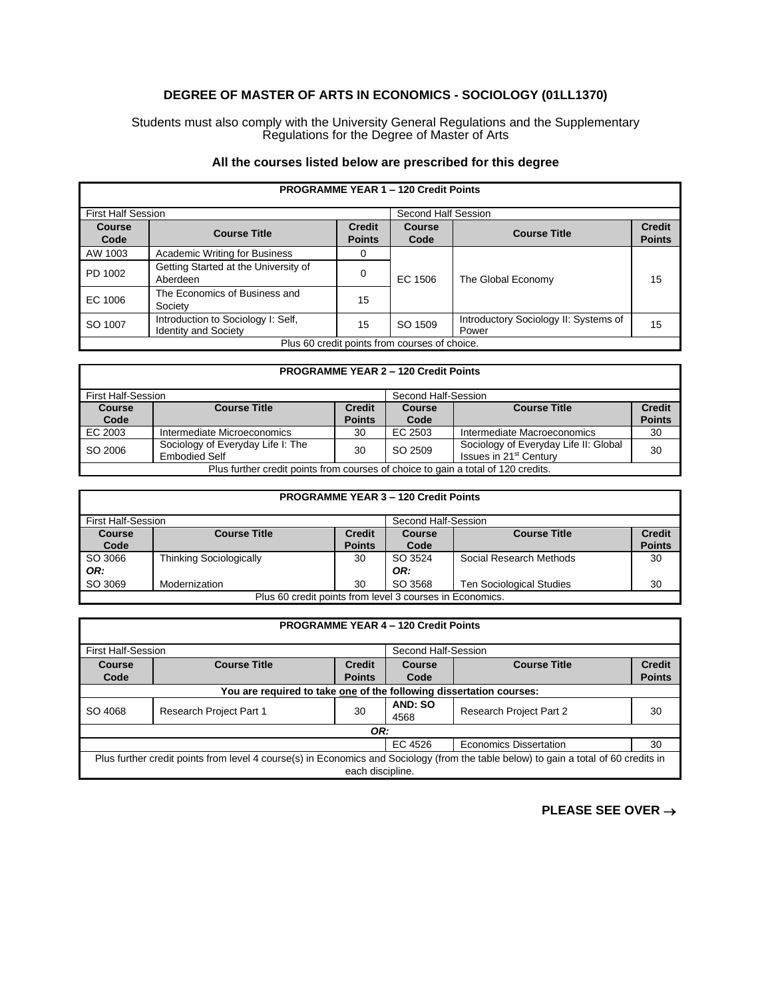## **DEGREE OF MASTER OF ARTS IN ECONOMICS - SOCIOLOGY (01LL1370)**

Students must also comply with the University General Regulations and the Supplementary Regulations for the Degree of Master of Arts

## **All the courses listed below are prescribed for this degree**

| <b>PROGRAMME YEAR 1 - 120 Credit Points</b>   |                                                                   |                                |                       |                                                |                                |
|-----------------------------------------------|-------------------------------------------------------------------|--------------------------------|-----------------------|------------------------------------------------|--------------------------------|
| <b>First Half Session</b>                     |                                                                   |                                | Second Half Session   |                                                |                                |
| <b>Course</b><br>Code                         | <b>Course Title</b>                                               | <b>Credit</b><br><b>Points</b> | <b>Course</b><br>Code | <b>Course Title</b>                            | <b>Credit</b><br><b>Points</b> |
| AW 1003                                       | <b>Academic Writing for Business</b>                              |                                |                       |                                                |                                |
| PD 1002                                       | Getting Started at the University of<br>Aberdeen                  | $\Omega$                       | EC 1506               | The Global Economy                             | 15                             |
| EC 1006                                       | The Economics of Business and<br>Society                          | 15                             |                       |                                                |                                |
| SO 1007                                       | Introduction to Sociology I: Self,<br><b>Identity and Society</b> | 15                             | SO 1509               | Introductory Sociology II: Systems of<br>Power | 15                             |
| Plus 60 credit points from courses of choice. |                                                                   |                                |                       |                                                |                                |

## **PROGRAMME YEAR 2 – 120 Credit Points** First Half-Session Second Half-Session **Course**  Code<br>EC 2003 **Course Title Credit Points Course**  Code<br>EC 2503 **Course Title Credit Points** EC 2003 Intermediate Microeconomics 30 EC 2503 Intermediate Macroeconomics 30 SO 2006 Sociology of Everyday Life I: The<br>Embodied Self Sociology of Everyday Life II: Global Sociology of Everyday Life II: Giobal  $\begin{bmatrix} 30 \\ 30 \end{bmatrix}$ Plus further credit points from courses of choice to gain a total of 120 credits.

| <b>PROGRAMME YEAR 3 - 120 Credit Points</b>              |                                |               |                     |                                 |               |
|----------------------------------------------------------|--------------------------------|---------------|---------------------|---------------------------------|---------------|
| <b>First Half-Session</b>                                |                                |               | Second Half-Session |                                 |               |
| <b>Course</b>                                            | <b>Course Title</b>            | <b>Credit</b> | Course              | <b>Course Title</b>             | <b>Credit</b> |
| Code                                                     |                                | <b>Points</b> | Code                |                                 | <b>Points</b> |
| SO 3066                                                  | <b>Thinking Sociologically</b> | 30            | SO 3524             | Social Research Methods         | 30            |
| OR:                                                      |                                |               | OR:                 |                                 |               |
| SO 3069                                                  | Modernization                  | 30            | SO 3568             | <b>Ten Sociological Studies</b> | 30            |
| Plus 60 credit points from level 3 courses in Economics. |                                |               |                     |                                 |               |

| <b>PROGRAMME YEAR 4 - 120 Credit Points</b>                                                                                                              |                                |               |                 |                                |               |
|----------------------------------------------------------------------------------------------------------------------------------------------------------|--------------------------------|---------------|-----------------|--------------------------------|---------------|
| <b>First Half-Session</b><br>Second Half-Session                                                                                                         |                                |               |                 |                                |               |
| Course                                                                                                                                                   | <b>Course Title</b>            | <b>Credit</b> | Course          | <b>Course Title</b>            | <b>Credit</b> |
| Code                                                                                                                                                     |                                | <b>Points</b> | Code            |                                | <b>Points</b> |
| You are required to take one of the following dissertation courses:                                                                                      |                                |               |                 |                                |               |
| SO 4068                                                                                                                                                  | <b>Research Project Part 1</b> | 30            | AND: SO<br>4568 | <b>Research Project Part 2</b> | 30            |
| OR:                                                                                                                                                      |                                |               |                 |                                |               |
| EC 4526<br><b>Economics Dissertation</b><br>30                                                                                                           |                                |               |                 |                                |               |
| Plus further credit points from level 4 course(s) in Economics and Sociology (from the table below) to gain a total of 60 credits in<br>each discipline. |                                |               |                 |                                |               |

**PLEASE SEE OVER** →